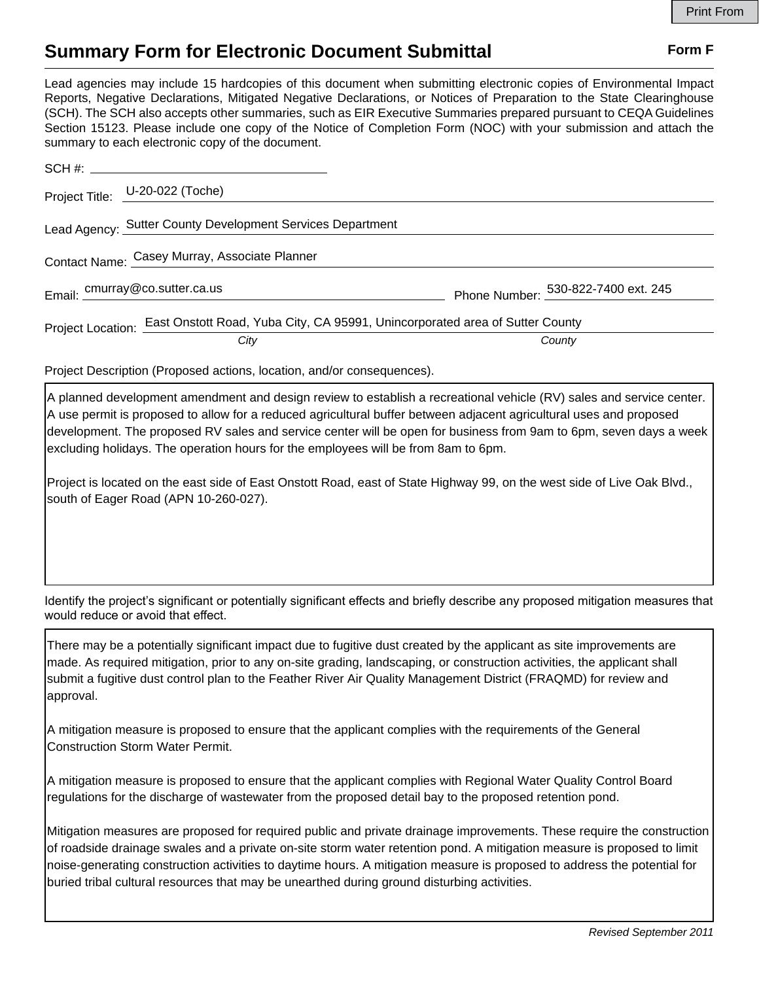## **Summary Form for Electronic Document Submittal Form F Form F**

Lead agencies may include 15 hardcopies of this document when submitting electronic copies of Environmental Impact Reports, Negative Declarations, Mitigated Negative Declarations, or Notices of Preparation to the State Clearinghouse (SCH). The SCH also accepts other summaries, such as EIR Executive Summaries prepared pursuant to CEQA Guidelines Section 15123. Please include one copy of the Notice of Completion Form (NOC) with your submission and attach the summary to each electronic copy of the document.

|                                               | Project Title: U-20-022 (Toche)                                                                |                                     |
|-----------------------------------------------|------------------------------------------------------------------------------------------------|-------------------------------------|
|                                               | Lead Agency: Sutter County Development Services Department                                     |                                     |
| Contact Name: Casey Murray, Associate Planner |                                                                                                |                                     |
|                                               | Email: cmurray@co.sutter.ca.us                                                                 | Phone Number: 530-822-7400 ext. 245 |
|                                               | Project Location: East Onstott Road, Yuba City, CA 95991, Unincorporated area of Sutter County |                                     |
|                                               | City                                                                                           | County                              |

Project Description (Proposed actions, location, and/or consequences).

A planned development amendment and design review to establish a recreational vehicle (RV) sales and service center. A use permit is proposed to allow for a reduced agricultural buffer between adjacent agricultural uses and proposed development. The proposed RV sales and service center will be open for business from 9am to 6pm, seven days a week excluding holidays. The operation hours for the employees will be from 8am to 6pm.

Project is located on the east side of East Onstott Road, east of State Highway 99, on the west side of Live Oak Blvd., south of Eager Road (APN 10-260-027).

Identify the project's significant or potentially significant effects and briefly describe any proposed mitigation measures that would reduce or avoid that effect.

There may be a potentially significant impact due to fugitive dust created by the applicant as site improvements are made. As required mitigation, prior to any on-site grading, landscaping, or construction activities, the applicant shall submit a fugitive dust control plan to the Feather River Air Quality Management District (FRAQMD) for review and approval.

A mitigation measure is proposed to ensure that the applicant complies with the requirements of the General Construction Storm Water Permit.

A mitigation measure is proposed to ensure that the applicant complies with Regional Water Quality Control Board regulations for the discharge of wastewater from the proposed detail bay to the proposed retention pond.

Mitigation measures are proposed for required public and private drainage improvements. These require the construction of roadside drainage swales and a private on-site storm water retention pond. A mitigation measure is proposed to limit noise-generating construction activities to daytime hours. A mitigation measure is proposed to address the potential for buried tribal cultural resources that may be unearthed during ground disturbing activities.